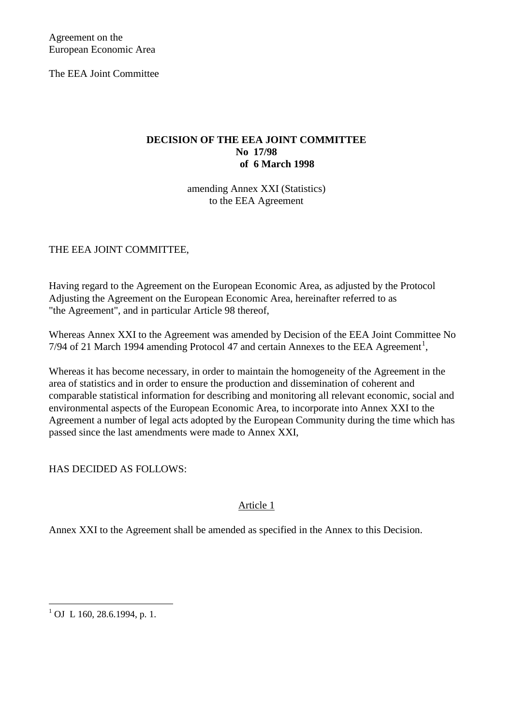Agreement on the European Economic Area

The EEA Joint Committee

# **DECISION OF THE EEA JOINT COMMITTEE No 17/98 of 6 March 1998**

amending Annex XXI (Statistics) to the EEA Agreement

THE EEA JOINT COMMITTEE,

Having regard to the Agreement on the European Economic Area, as adjusted by the Protocol Adjusting the Agreement on the European Economic Area, hereinafter referred to as "the Agreement", and in particular Article 98 thereof,

<span id="page-0-1"></span>Whereas Annex XXI to the Agreement was amended by Decision of the EEA Joint Committee No 7/94 of 2[1](#page-0-0) March 1994 amending Protocol 47 and certain Annexes to the EEA Agreement<sup>1</sup>,

Whereas it has become necessary, in order to maintain the homogeneity of the Agreement in the area of statistics and in order to ensure the production and dissemination of coherent and comparable statistical information for describing and monitoring all relevant economic, social and environmental aspects of the European Economic Area, to incorporate into Annex XXI to the Agreement a number of legal acts adopted by the European Community during the time which has passed since the last amendments were made to Annex XXI,

HAS DECIDED AS FOLLOWS:

# Article 1

Annex XXI to the Agreement shall be amended as specified in the Annex to this Decision.

<span id="page-0-0"></span><sup>&</sup>lt;sup>1</sup> OJ L 160, 28.6.1994, p. 1.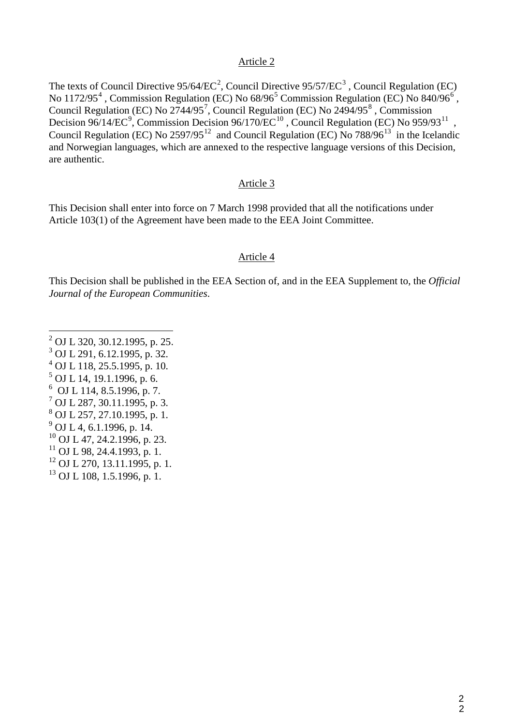### Article 2

The texts of Council Directive  $95/64/EC^2$  $95/64/EC^2$ , Council Directive  $95/57/EC^3$  $95/57/EC^3$ , Council Regulation (EC) No 1172/95<sup>[4](#page-1-1)</sup>, Commission Regulation (EC) No  $68/96^5$  $68/96^5$  Commission Regulation (EC) No  $840/96^6$  $840/96^6$  $840/96^6$ , Council Regulation (EC) No  $2744/95^7$  $2744/95^7$  $2744/95^7$ , Council Regulation (EC) No  $2494/95^8$  $2494/95^8$ , Commission Decision [9](#page-1-6)6/14/EC<sup>9</sup>, Commission Decision 96/170/EC<sup>[10](#page-1-7)</sup>, Council Regulation (EC) No 959/93<sup>[11](#page-1-8)</sup>, Council Regulation (EC) No  $2597/95^{12}$  $2597/95^{12}$  $2597/95^{12}$  and Council Regulation (EC) No  $788/96^{13}$  $788/96^{13}$  $788/96^{13}$  in the Icelandic and Norwegian languages, which are annexed to the respective language versions of this Decision, are authentic.

#### Article 3

This Decision shall enter into force on 7 March 1998 provided that all the notifications under Article 103(1) of the Agreement have been made to the EEA Joint Committee.

#### Article 4

This Decision shall be published in the EEA Section of, and in the EEA Supplement to, the *Official Journal of the European Communities*.

- <span id="page-1-1"></span><span id="page-1-0"></span> $^{4}$  OJ L 118, 25.5.1995, p. 10.
- <span id="page-1-2"></span> $<sup>5</sup>$  OJ L 14, 19.1.1996, p. 6.</sup>
- <span id="page-1-3"></span>6 OJ L 114, 8.5.1996, p. 7.
- <span id="page-1-4"></span> $^7$  OJ L 287, 30.11.1995, p. 3.
- <span id="page-1-5"></span><sup>8</sup> OJ L 257, 27.10.1995, p. 1.
- <span id="page-1-6"></span> $^{9}$  OJ L 4, 6.1.1996, p. 14.
- <span id="page-1-7"></span> $^{10}$  OJ L 47, 24.2.1996, p. 23.
- <span id="page-1-8"></span> $11$  OJ L 98, 24.4.1993, p. 1.
- <span id="page-1-9"></span> $12$  OJ L 270, 13.11.1995, p. 1.
- <span id="page-1-10"></span><sup>13</sup> OJ L 108, 1.5.1996, p. 1.

 $^2$  OJ L 320, 30.12.1995, p. 25.<br><sup>3</sup> OJ L 291, 6.12.1995, p. 32.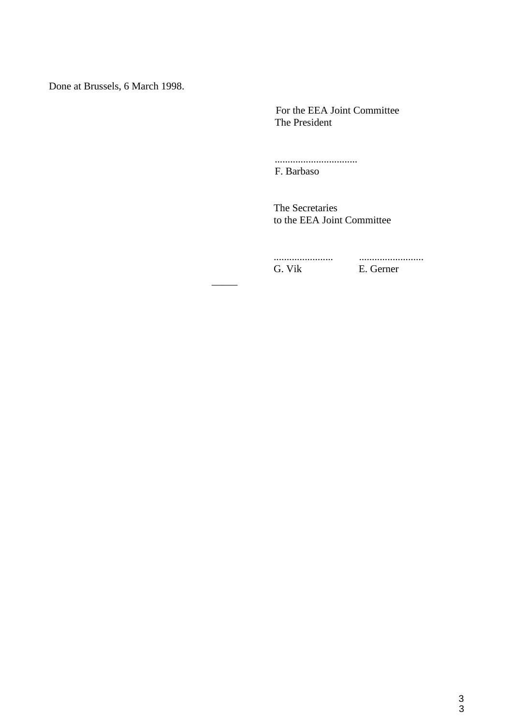Done at Brussels, 6 March 1998.

\_\_\_\_\_

 For the EEA Joint Committee The President

................................ F. Barbaso

 The Secretaries to the EEA Joint Committee

 ....................... ......................... G. Vik E. Gerner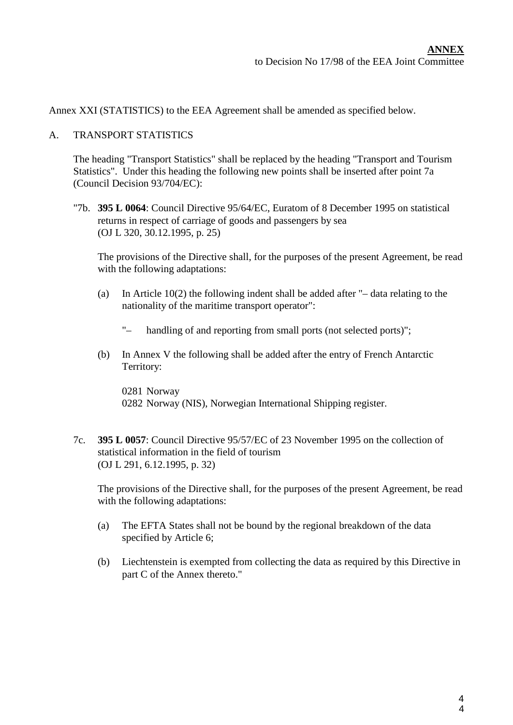Annex XXI (STATISTICS) to the EEA Agreement shall be amended as specified below.

#### A. TRANSPORT STATISTICS

The heading "Transport Statistics" shall be replaced by the heading "Transport and Tourism Statistics". Under this heading the following new points shall be inserted after point 7a (Council Decision 93/704/EC):

"7b. **395 L 0064**: Council Directive 95/64/EC, Euratom of 8 December 1995 on statistical returns in respect of carriage of goods and passengers by sea (OJ L 320, 30.12.1995, p. 25)

The provisions of the Directive shall, for the purposes of the present Agreement, be read with the following adaptations:

- (a) In Article 10(2) the following indent shall be added after "– data relating to the nationality of the maritime transport operator":
	- "– handling of and reporting from small ports (not selected ports)";
- (b) In Annex V the following shall be added after the entry of French Antarctic Territory:

0281 Norway 0282 Norway (NIS), Norwegian International Shipping register.

7c. **395 L 0057**: Council Directive 95/57/EC of 23 November 1995 on the collection of statistical information in the field of tourism (OJ L 291, 6.12.1995, p. 32)

The provisions of the Directive shall, for the purposes of the present Agreement, be read with the following adaptations:

- (a) The EFTA States shall not be bound by the regional breakdown of the data specified by Article 6;
- (b) Liechtenstein is exempted from collecting the data as required by this Directive in part C of the Annex thereto."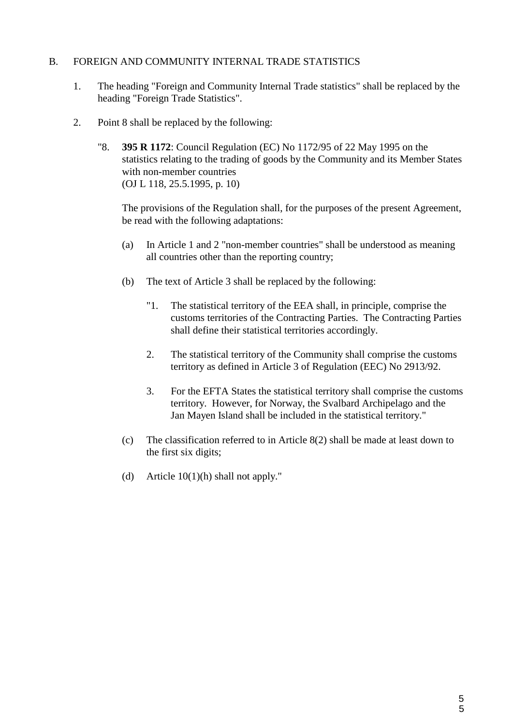### B. FOREIGN AND COMMUNITY INTERNAL TRADE STATISTICS

- 1. The heading "Foreign and Community Internal Trade statistics" shall be replaced by the heading "Foreign Trade Statistics".
- 2. Point 8 shall be replaced by the following:
	- "8. **395 R 1172**: Council Regulation (EC) No 1172/95 of 22 May 1995 on the statistics relating to the trading of goods by the Community and its Member States with non-member countries (OJ L 118, 25.5.1995, p. 10)

The provisions of the Regulation shall, for the purposes of the present Agreement, be read with the following adaptations:

- (a) In Article 1 and 2 "non-member countries" shall be understood as meaning all countries other than the reporting country;
- (b) The text of Article 3 shall be replaced by the following:
	- "1. The statistical territory of the EEA shall, in principle, comprise the customs territories of the Contracting Parties. The Contracting Parties shall define their statistical territories accordingly.
	- 2. The statistical territory of the Community shall comprise the customs territory as defined in Article 3 of Regulation (EEC) No 2913/92.
	- 3. For the EFTA States the statistical territory shall comprise the customs territory. However, for Norway, the Svalbard Archipelago and the Jan Mayen Island shall be included in the statistical territory."
- (c) The classification referred to in Article 8(2) shall be made at least down to the first six digits;
- (d) Article 10(1)(h) shall not apply."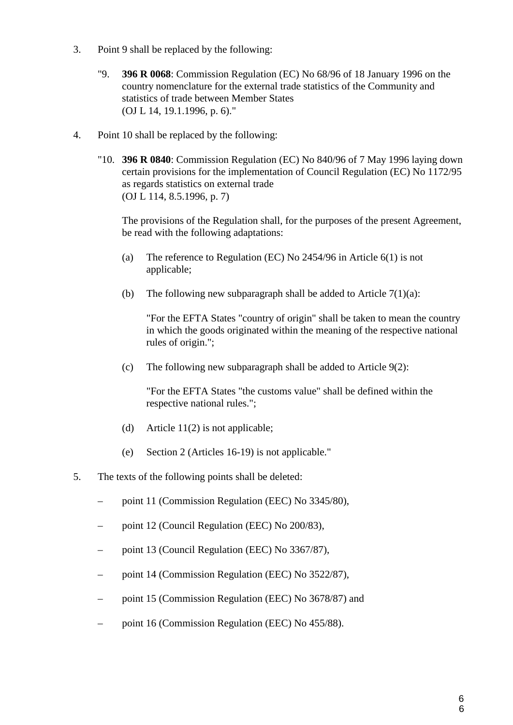- 3. Point 9 shall be replaced by the following:
	- "9. **396 R 0068**: Commission Regulation (EC) No 68/96 of 18 January 1996 on the country nomenclature for the external trade statistics of the Community and statistics of trade between Member States (OJ L 14, 19.1.1996, p. 6)."
- 4. Point 10 shall be replaced by the following:
	- "10. **396 R 0840**: Commission Regulation (EC) No 840/96 of 7 May 1996 laying down certain provisions for the implementation of Council Regulation (EC) No 1172/95 as regards statistics on external trade (OJ L 114, 8.5.1996, p. 7)

The provisions of the Regulation shall, for the purposes of the present Agreement, be read with the following adaptations:

- (a) The reference to Regulation (EC) No 2454/96 in Article 6(1) is not applicable;
- (b) The following new subparagraph shall be added to Article  $7(1)(a)$ :

"For the EFTA States "country of origin" shall be taken to mean the country in which the goods originated within the meaning of the respective national rules of origin.";

(c) The following new subparagraph shall be added to Article 9(2):

"For the EFTA States "the customs value" shall be defined within the respective national rules.";

- (d) Article 11(2) is not applicable;
- (e) Section 2 (Articles 16-19) is not applicable."
- 5. The texts of the following points shall be deleted:
	- point 11 (Commission Regulation (EEC) No 3345/80),
	- point 12 (Council Regulation (EEC) No 200/83),
	- point 13 (Council Regulation (EEC) No 3367/87),
	- point 14 (Commission Regulation (EEC) No 3522/87),
	- point 15 (Commission Regulation (EEC) No 3678/87) and
	- point 16 (Commission Regulation (EEC) No 455/88).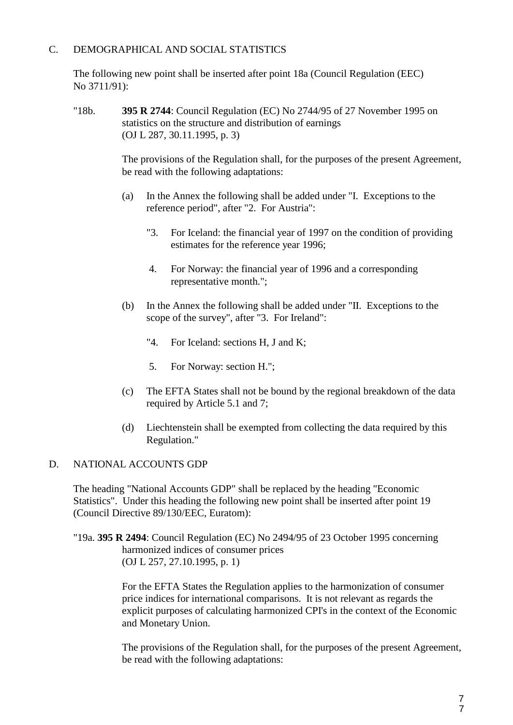# C. DEMOGRAPHICAL AND SOCIAL STATISTICS

The following new point shall be inserted after point 18a (Council Regulation (EEC) No 3711/91):

"18b. **395 R 2744**: Council Regulation (EC) No 2744/95 of 27 November 1995 on statistics on the structure and distribution of earnings (OJ L 287, 30.11.1995, p. 3)

> The provisions of the Regulation shall, for the purposes of the present Agreement, be read with the following adaptations:

- (a) In the Annex the following shall be added under "I. Exceptions to the reference period", after "2. For Austria":
	- "3. For Iceland: the financial year of 1997 on the condition of providing estimates for the reference year 1996;
	- 4. For Norway: the financial year of 1996 and a corresponding representative month.";
- (b) In the Annex the following shall be added under "II. Exceptions to the scope of the survey", after "3. For Ireland":
	- "4. For Iceland: sections H, J and K;
	- 5. For Norway: section H.";
- (c) The EFTA States shall not be bound by the regional breakdown of the data required by Article 5.1 and 7;
- (d) Liechtenstein shall be exempted from collecting the data required by this Regulation."

#### D. NATIONAL ACCOUNTS GDP

The heading "National Accounts GDP" shall be replaced by the heading "Economic Statistics". Under this heading the following new point shall be inserted after point 19 (Council Directive 89/130/EEC, Euratom):

"19a. **395 R 2494**: Council Regulation (EC) No 2494/95 of 23 October 1995 concerning harmonized indices of consumer prices (OJ L 257, 27.10.1995, p. 1)

> For the EFTA States the Regulation applies to the harmonization of consumer price indices for international comparisons. It is not relevant as regards the explicit purposes of calculating harmonized CPI's in the context of the Economic and Monetary Union.

The provisions of the Regulation shall, for the purposes of the present Agreement, be read with the following adaptations: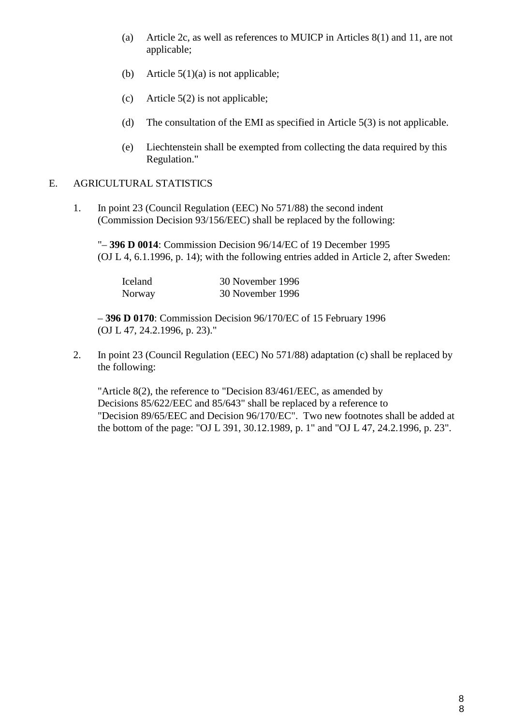- (a) Article 2c, as well as references to MUICP in Articles 8(1) and 11, are not applicable;
- (b) Article  $5(1)(a)$  is not applicable;
- (c) Article 5(2) is not applicable;
- (d) The consultation of the EMI as specified in Article 5(3) is not applicable.
- (e) Liechtenstein shall be exempted from collecting the data required by this Regulation."

# E. AGRICULTURAL STATISTICS

1. In point 23 (Council Regulation (EEC) No 571/88) the second indent (Commission Decision 93/156/EEC) shall be replaced by the following:

"– **396 D 0014**: Commission Decision 96/14/EC of 19 December 1995 (OJ L 4, 6.1.1996, p. 14); with the following entries added in Article 2, after Sweden:

| <b>Iceland</b> | 30 November 1996 |
|----------------|------------------|
| Norway         | 30 November 1996 |

– **396 D 0170**: Commission Decision 96/170/EC of 15 February 1996 (OJ L 47, 24.2.1996, p. 23)."

2. In point 23 (Council Regulation (EEC) No 571/88) adaptation (c) shall be replaced by the following:

"Article 8(2), the reference to "Decision 83/461/EEC, as amended by Decisions 85/622/EEC and 85/643" shall be replaced by a reference to "Decision 89/65/EEC and Decision 96/170/EC". Two new footnotes shall be added at the bottom of the page: "OJ L 391, 30.12.1989, p. 1" and "OJ L 47, 24.2.1996, p. 23".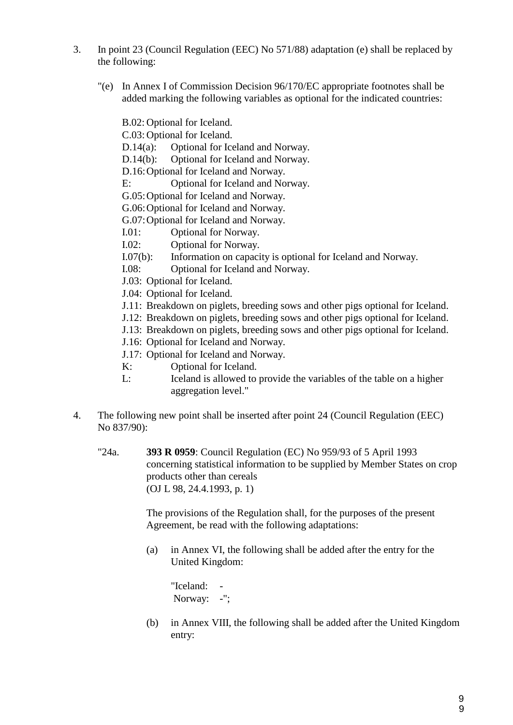- 3. In point 23 (Council Regulation (EEC) No 571/88) adaptation (e) shall be replaced by the following:
	- "(e) In Annex I of Commission Decision 96/170/EC appropriate footnotes shall be added marking the following variables as optional for the indicated countries:

B.02: Optional for Iceland.

C.03: Optional for Iceland.

D.14(a): Optional for Iceland and Norway.

D.14(b): Optional for Iceland and Norway.

D.16:Optional for Iceland and Norway.

E: Optional for Iceland and Norway.

G.05:Optional for Iceland and Norway.

G.06:Optional for Iceland and Norway.

G.07:Optional for Iceland and Norway.

I.01: Optional for Norway.

- I.02: Optional for Norway.
- I.07(b): Information on capacity is optional for Iceland and Norway.
- I.08: Optional for Iceland and Norway.
- J.03: Optional for Iceland.
- J.04: Optional for Iceland.
- J.11: Breakdown on piglets, breeding sows and other pigs optional for Iceland.
- J.12: Breakdown on piglets, breeding sows and other pigs optional for Iceland.
- J.13: Breakdown on piglets, breeding sows and other pigs optional for Iceland.
- J.16: Optional for Iceland and Norway.
- J.17: Optional for Iceland and Norway.
- K: Optional for Iceland.
- L: Iceland is allowed to provide the variables of the table on a higher aggregation level."
- 4. The following new point shall be inserted after point 24 (Council Regulation (EEC) No 837/90):
	- "24a. **393 R 0959**: Council Regulation (EC) No 959/93 of 5 April 1993 concerning statistical information to be supplied by Member States on crop products other than cereals (OJ L 98, 24.4.1993, p. 1)

The provisions of the Regulation shall, for the purposes of the present Agreement, be read with the following adaptations:

(a) in Annex VI, the following shall be added after the entry for the United Kingdom:

"Iceland: - Norway: -":

(b) in Annex VIII, the following shall be added after the United Kingdom entry: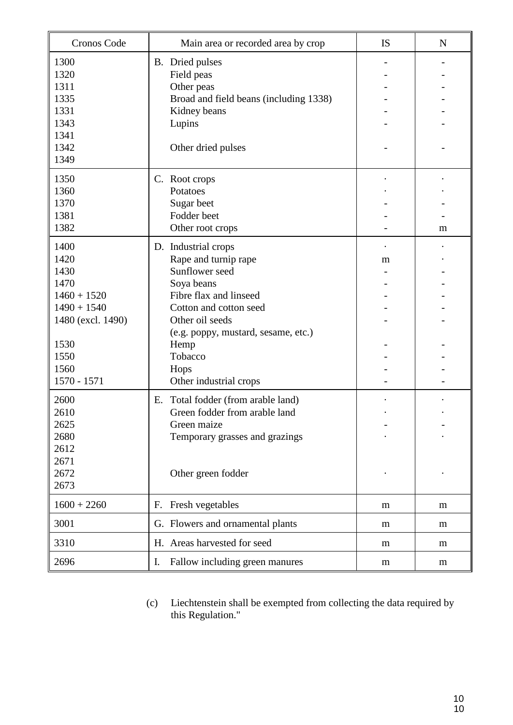| Cronos Code       | Main area or recorded area by crop     | <b>IS</b> | $\mathbf N$ |
|-------------------|----------------------------------------|-----------|-------------|
| 1300              | B. Dried pulses                        |           |             |
| 1320              | Field peas                             |           |             |
| 1311              | Other peas                             |           |             |
| 1335              | Broad and field beans (including 1338) |           |             |
| 1331              | Kidney beans                           |           |             |
| 1343              | Lupins                                 |           |             |
| 1341              |                                        |           |             |
| 1342              | Other dried pulses                     |           |             |
| 1349              |                                        |           |             |
| 1350              | C. Root crops                          |           |             |
| 1360              | Potatoes                               |           |             |
| 1370              | Sugar beet                             |           |             |
| 1381              | Fodder beet                            |           |             |
| 1382              | Other root crops                       |           | m           |
| 1400              | D. Industrial crops                    |           |             |
| 1420              | Rape and turnip rape                   | m         |             |
| 1430              | Sunflower seed                         |           |             |
| 1470              | Soya beans                             |           |             |
| $1460 + 1520$     | Fibre flax and linseed                 |           |             |
| $1490 + 1540$     | Cotton and cotton seed                 |           |             |
| 1480 (excl. 1490) | Other oil seeds                        |           |             |
|                   | (e.g. poppy, mustard, sesame, etc.)    |           |             |
| 1530              | Hemp                                   |           |             |
| 1550              | Tobacco                                |           |             |
| 1560              | Hops                                   |           |             |
| 1570 - 1571       | Other industrial crops                 |           |             |
| 2600              | Total fodder (from arable land)<br>Ε.  |           |             |
| 2610              | Green fodder from arable land          |           |             |
| 2625              | Green maize                            |           |             |
| 2680              | Temporary grasses and grazings         |           |             |
| 2612              |                                        |           |             |
| 2671              |                                        |           |             |
| 2672              | Other green fodder                     |           |             |
| 2673              |                                        |           |             |
| $1600 + 2260$     | Fresh vegetables<br>F.                 | m         | m           |
| 3001              | G. Flowers and ornamental plants       | m         | m           |
| 3310              | H. Areas harvested for seed            | m         | m           |
| 2696              | Fallow including green manures<br>I.   | m         | m           |

(c) Liechtenstein shall be exempted from collecting the data required by this Regulation."